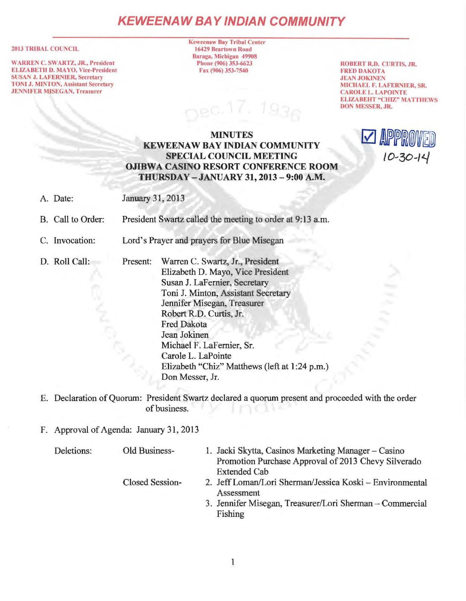# **KEWEENAW BAY IND/AN COMMUNITY**

#### 2013 TRIBAL COUNCIL

WARREN C. SWARTZ, JR., President ELIZABETH D. MAYO, Vice-President SUSAN J. LAFERNIER, Secretary TONI J. MINTON, Assistant Secretary JENNIFER MJSEGAN, Treasurer

Keweenaw Bay Tribal Center 16429 Beartown Road Baraga, Michigan 49908 Phone (906) 353-6623 Fax (906) 353-7540

ROBERT R.D. CURTIS, JR. FRED DAKOTA JEAN JOKINEN MICHAEL F. LAFERNIER, SR. CAROLE L. LAPOINTE ELIZABEHT "CHIZ" MATTHEWS DON MESSER, JR.

## MINUTES KEWEENAW BAY INDIAN COMMUNITY SPECIAL COUNCIL MEETING OJIBWA CASINO RESORT CONFERENCE ROOM THURSDAY -JANUARY 31, 2013 - 9:00 A.M.



- A. Date: January 31, 2013
- B. Call to Order: President Swartz called the meeting to order at 9:13 a.m.
- C. Invocation: Lord's Prayer and prayers for Blue Misegan
- D. Roll Call:

Present: Warren C. Swartz, Jr., President Elizabeth D. Mayo, Vice President Susan J. LaFernier, Secretary Toni J. Minton, Assistant Secretary Jennifer Misegan, Treasurer Robert R.D. Curtis, Jr. Fred Dakota Jean Jokinen Michael F. LaFernier, Sr. Carole L. LaPointe Elizabeth "Chiz" Matthews (left at 1:24 p.m.) Don Messer, Jr.

E. Declaration of Quorum: President Swartz declared a quorum present and proceeded with the order of business.

## F. Approval of Agenda: January 31, 2013

| Deletions: | Old Business-          | 1. Jacki Skytta, Casinos Marketing Manager – Casino<br>Promotion Purchase Approval of 2013 Chevy Silverado<br><b>Extended Cab</b> |
|------------|------------------------|-----------------------------------------------------------------------------------------------------------------------------------|
|            | <b>Closed Session-</b> | 2. Jeff Loman/Lori Sherman/Jessica Koski - Environmental<br>Assessment                                                            |
|            |                        | 3. Jennifer Misegan, Treasurer/Lori Sherman - Commercial<br>Fishing                                                               |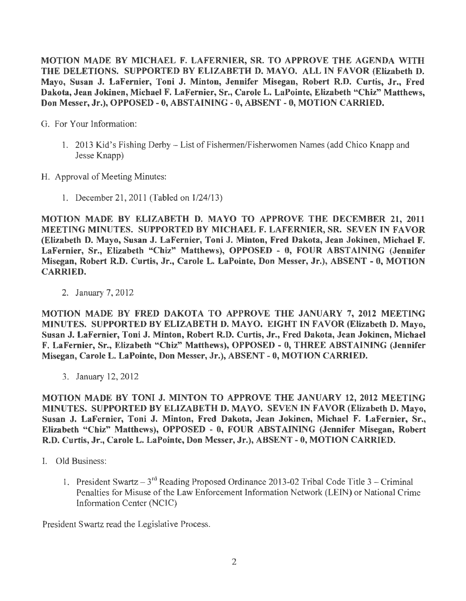MOTION MADE BY MICHAEL F. LAFERNIER, SR. TO APPROVE THE AGENDA WITH THE DELETIONS. SUPPORTED BY ELIZABETH D. MAYO. ALL IN FAVOR (Elizabeth D. Mayo, Susan J. LaFernier, Toni J. Minton, Jennifer Misegan, Robert R.D. Curtis, Jr., Fred Dakota, Jean Jokinen, Michael F. LaFernier, Sr., Carole L. LaPointe, Elizabeth "Chiz" Matthews, Don Messer, Jr.), OPPOSED - 0, ABSTAINING - 0, ABSENT - 0, MOTION CARRIED.

G. For Your Information:

- 1. 2013 Kid's Fishing Derby List of Fishermen/Fisherwomen Names (add Chico Knapp and Jesse Knapp)
- H. Approval of Meeting Minutes:
	- 1. December 21, 2011 (Tabled on  $1/24/13$ )

MOTION MADE BY ELIZABETH D. MA YO TO APPROVE THE DECEMBER 21, 2011 MEETING MINUTES. SUPPORTED BY MICHAEL F. LAFERNIER, SR. SEVEN IN FAVOR (Elizabeth D. Mayo, Susan J. LaFernier, Toni J. Minton, Fred Dakota, Jean Jokinen, Michael F. LaFernier, Sr., Elizabeth "Chiz" Matthews), OPPOSED - 0, FOUR ABSTAINING (Jennifer Misegan, Robert R.D. Curtis, Jr., Carole L. LaPointe, Don Messer, Jr.), ABSENT - 0, MOTION CARRIED.

2. January 7, 2012

MOTION MADE BY FRED DAKOTA TO APPROVE THE JANUARY 7, 2012 MEETING MINUTES. SUPPORTED BY ELIZABETH D. MA YO. EIGHT IN FAVOR (Elizabeth D. Mayo, Susan J. LaFernier, Toni J. Minton, Robert R.D. Curtis, Jr., Fred Dakota, Jean Jokinen, Michael F. LaFernier, Sr., Elizabeth "Chiz" Matthews), OPPOSED - 0, THREE ABSTAINING (Jennifer Misegan, Carole L. LaPointe, Don Messer, Jr.), ABSENT - 0, MOTION CARRIED.

3. January 12, 2012

MOTION MADE BY TONI J. MINTON TO APPROVE THE JANUARY 12, 2012 MEETING MINUTES. SUPPORTED BY ELIZABETH D. MA YO. SEVEN INF A VOR (Elizabeth D. Mayo, Susan J. LaFernier, Toni J. Minton, Fred Dakota, Jean Jokinen, Michael F. LaFernier, Sr., Elizabeth "Chiz" Matthews), OPPOSED - 0, FOUR ABSTAINING (Jennifer Misegan, Robert R.D. Curtis, Jr., Carole L. LaPointe, Don Messer, Jr.), ABSENT - 0, MOTION CARRIED.

- I. Old Business:
	- 1. President Swartz  $3^{rd}$  Reading Proposed Ordinance 2013-02 Tribal Code Title 3 Criminal Penalties for Misuse of the Law Enforcement Information Network (LEIN) or National Crime Information Center (NCIC)

President Swartz read the Legislative Process.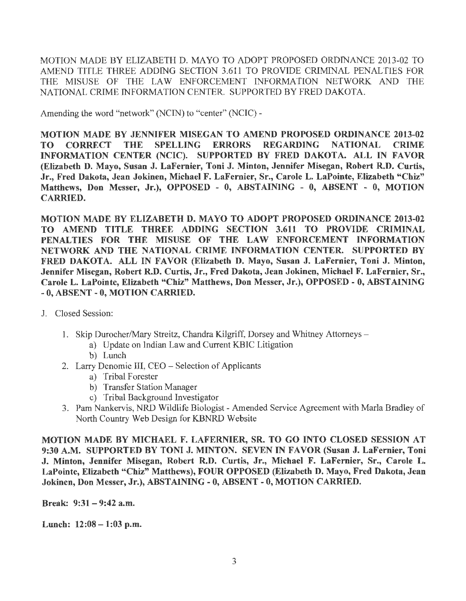MOTION MADE BY ELIZABETH D. MA YO TO ADOPT PROPOSED ORDINANCE 2013-02 TO AMEND TITLE THREE ADDING SECTION 3.611 TO PROVIDE CRIMINAL PENALTIES FOR THE MISUSE OF THE LAW ENFORCEMENT INFORMATION NETWORK AND THE NATIONAL CRIME INFORMATION CENTER. SUPPORTED BY FRED DAKOTA.

Amending the word "network" (NCIN) to "center" (NCIC) -

MOTION MADE BY JENNIFER MISEGAN TO AMEND PROPOSED ORDINANCE 2013-02 TO CORRECT THE SPELLING ERRORS REGARDING NATIONAL CRIME INFORMATION CENTER (NCIC). SUPPORTED BY FRED DAKOTA. ALL IN FAVOR (Elizabeth D. Mayo, Susan J. LaFernier, Toni J. Minton, Jennifer Misegan, Robert R.D. Curtis, Jr., Fred Dakota, Jean Jokinen, Michael F. LaFernier, Sr., Carole L. LaPointe, Elizabeth "Chiz" Matthews, Don Messer, Jr.), OPPOSED - 0, ABSTAINING - 0, ABSENT - 0, MOTION CARRIED.

MOTION MADE BY ELIZABETH D. MA YO TO ADOPT PROPOSED ORDINANCE 2013-02 TO AMEND TITLE THREE ADDING SECTION 3.611 TO PROVIDE CRIMINAL PENALTIES FOR THE MISUSE OF THE LAW ENFORCEMENT INFORMATION NETWORK AND THE NATIONAL CRIME INFORMATION CENTER. SUPPORTED BY FRED DAKOTA. ALL IN FAVOR (Elizabeth D. Mayo, Susan J. LaFernier, Toni J. Minton, Jennifer Misegan, Robert R.D. Curtis, Jr., Fred Dakota, Jean Jokinen, Michael F. LaFernier, Sr., Carole L. LaPointe, Elizabeth "Chiz" Matthews, Don Messer, Jr.), OPPOSED - 0, ABSTAINING - O, ABSENT - 0, MOTION CARRIED.

- J. Closed Session:
	- 1. Skip Durocher/Mary Streitz, Chandra Kilgriff, Dorsey and Whitney Attorneys
		- a) Update on Indian Law and Current KBIC Litigation
		- b) Lunch
	- 2. Larry Denomie III, CEO Selection of Applicants
		- a) Tribal Forester
		- b) Transfer Station Manager
		- c) Tribal Background Investigator
	- 3. Pam Nankervis, NRD Wildlife Biologist -Amended Service Agreement with Marla Bradley of North Country Web Design for KBNRD Website

MOTION MADE BY MICHAEL F. LAFERNIER, SR. TO GO INTO CLOSED SESSION AT 9:30 A.M. SUPPORTED BY TONI J. MINTON. SEVEN IN FAVOR (Susan J. LaFernier, Toni J. Minton, Jennifer Misegan, Robert R.D. Curtis, Jr., Michael F. LaFernier, Sr., Carole L. LaPointe, Elizabeth "Chiz" Matthews), FOUR OPPOSED (Elizabeth D. Mayo, Fred Dakota, Jean Jokinen, Don Messer, Jr.), ABSTAINING-0, ABSENT- 0, MOTION CARRIED.

Break: 9:31- 9:42 a.m.

Lunch: 12:08-1:03 p.m.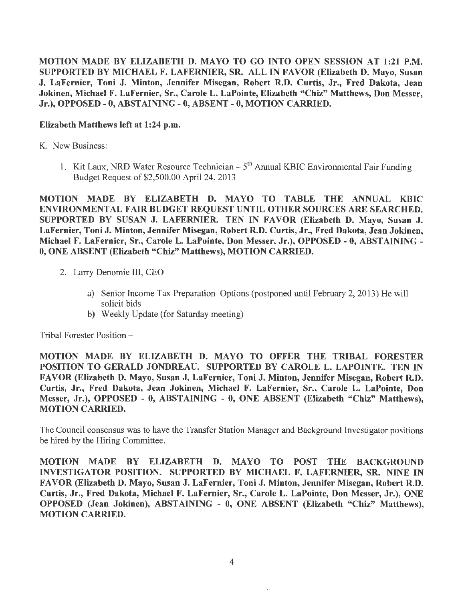MOTION MADE BY ELIZABETH D. MA YO TO GO INTO OPEN SESSION AT 1:21 P.M. SUPPORTED BY MICHAEL F. LAFERNIER, SR. ALL IN FAVOR (Elizabeth D. Mayo, Susan J. LaFernier, Toni J. Minton, Jennifer Misegan, Robert R.D. Curtis, Jr., Fred Dakota, Jean Jokinen, Michael F. LaFernier, Sr., Carole L. LaPointe, Elizabeth "Chiz" Matthews, Don Messer, Jr.), OPPOSED - 0, ABSTAINING - 0, ABSENT - 0, MOTION CARRIED.

#### Elizabeth Matthews left at 1:24 p.m.

K. New Business:

1. Kit Laux, NRD Water Resource Technician  $-5<sup>th</sup>$  Annual KBIC Environmental Fair Funding Budget Request of \$2,500.00 April 24, 2013

MOTION MADE BY ELIZABETH D. MAYO TO TABLE THE ANNUAL KBIC ENVIRONMENTAL FAIR BUDGET REQUEST UNTIL OTHER SOURCES ARE SEARCHED. SUPPORTED BY SUSAN J. LAFERNIER. TEN IN FAVOR (Elizabeth D. Mayo, Susan J. LaFernier, Toni J. Minton, Jennifer Misegan, Robert R.D. Curtis, Jr., Fred Dakota, Jean Jokinen, Michael F. LaFernier, Sr., Carole L. LaPointe, Don Messer, Jr.), OPPOSED - 0, ABSTAINING - O, ONE ABSENT (Elizabeth "Chiz" Matthews), MOTION CARRIED.

- 2. Larry Denomie III, CEO
	- a) Senior Income Tax Preparation Options (postponed until February 2, 2013) He will solicit bids
	- b) Weekly Update (for Saturday meeting)

Tribal Forester Position-

MOTION MADE BY ELIZABETH D. MA YO TO OFFER THE TRIBAL FORESTER POSITION TO GERALD JONDREAU. SUPPORTED BY CAROLE L. LAPOINTE. TEN IN FAVOR (Elizabeth D. Mayo, Susan J. LaFernier, Toni J. Minton, Jennifer Misegan, Robert R.D. Curtis, Jr., Fred Dakota, Jean Jokinen, Michael F. LaFernier, Sr., Carole L. LaPointe, Don Messer, Jr.), OPPOSED - O, ABSTAINING - 0, ONE ABSENT (Elizabeth "Chiz" Matthews), MOTION CARRIED.

The Council consensus was to have the Transfer Station Manager and Background Investigator positions be hired by the Hiring Committee.

MOTION MADE BY ELIZABETH D. MAYO TO POST THE BACKGROUND INVESTIGATOR POSITION. SUPPORTED BY MICHAEL F. LAFERNIER, SR. NINE IN FAVOR (Elizabeth D. Mayo, Susan J. LaFernier, Toni J. Minton, Jennifer Misegan, Robert R.D. Curtis, Jr., Fred Dakota, Michael F. LaFernier, Sr., Carole L. LaPointe, Don Messer, Jr.), ONE OPPOSED (Jean Jokinen), ABSTAINING - 0, ONE ABSENT (Elizabeth "Chiz" Matthews), MOTION CARRIED.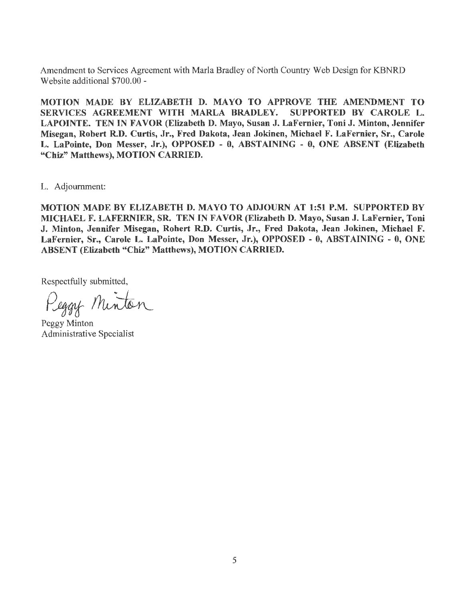Amendment to Services Agreement with Marla Bradley of North Country Web Design for KBNRD Website additional \$700.00 -

MOTION MADE BY ELIZABETH D. MAYO TO APPROVE THE AMENDMENT TO SERVICES AGREEMENT WITH MARLA BRADLEY. SUPPORTED BY CAROLE L. LAPOINTE. TEN IN FAVOR (Elizabeth D. Mayo, Susan J. LaFernier, Toni J. Minton, Jennifer Misegan, Robert R.D. Curtis, Jr., Fred Dakota, Jean Jokinen, Michael F. LaFernier, Sr., Carole L. LaPointe, Don Messer, Jr.), OPPOSED - O, ABSTAINING - O, ONE ABSENT (Elizabeth "Chiz" Matthews), MOTION CARRIED.

L. Adjournment:

MOTION MADE BY ELIZABETH D. MAYO TO ADJOURN AT 1:51 P.M. SUPPORTED BY MICHAEL F. LAFERNIER, SR. TEN IN FAVOR (Elizabeth D. Mayo, Susan J. LaFernier, Toni J. Minton, Jennifer Misegan, Robert R.D. Curtis, Jr., Fred Dakota, Jean Jokinen, Michael F. LaFernier, Sr., Carole L. LaPointe, Don Messer, Jr.), OPPOSED - 0, ABSTAINING - 0, ONE ABSENT (Elizabeth "Chiz" Matthews), MOTION CARRIED.

Respectfully submitted,

Peggy Minton

Peggy Minton Administrative Specialist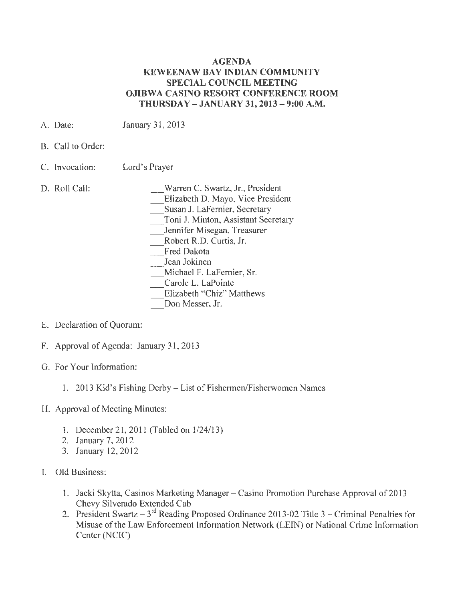#### **AGENDA KEWEENAW BAY INDIAN COMMUNITY SPECIAL COUNCIL MEETING OJIBWA CASINO RESORT CONFERENCE ROOM THURSDAY - JANUARY 31, 2013 - 9:00 A.M.**

- A. Date: January 31, 2013
- B. Call to Order:
- C. Invocation: Lord's Prayer
- D. Roll Call:

\_Warren C. Swartz, Jr., President

\_Elizabeth D. Mayo, Vice President

\_Susan J. Lafernier, Secretary

\_ Toni J. Minton, Assistant Secretary

\_ Jennifer Misegan, Treasurer

\_ Robert R.D. Curtis, Jr.

- Fred Dakota
- Jean Jokinen

\_ Michael F. LaFernier, Sr.

Carole L. LaPointe

Elizabeth "Chiz" Matthews

Don Messer, Jr.

- E. Declaration of Quorum:
- F. Approval of Agenda: January 31, 2013
- G. For Your Information:
	- 1. 2013 Kid's Fishing Derby List of Fishermen/Fisherwomen Names
- H. Approval of Meeting Minutes:
	- 1. December 21, 2011 (Tabled on 1/24/13)
	- 2. January 7, 2012
	- 3. January 12, 2012
- I. Old Business:
	- **1.** Jacki Skytta, Casinos Marketing Manager Casino Promotion Purchase Approval of 2013 Chevy Silverado Extended Cab
	- 2. President Swartz  $3^{rd}$  Reading Proposed Ordinance 2013-02 Title 3 Criminal Penalties for Misuse of the Law Enforcement Information Network (LEIN) or National Crime Information Center (NCIC)